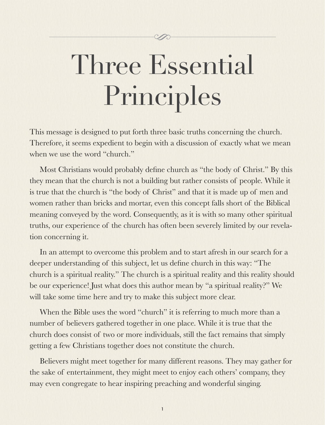# Three Essential Principles

This message is designed to put forth three basic truths concerning the church. Therefore, it seems expedient to begin with a discussion of exactly what we mean when we use the word "church."

Most Christians would probably define church as "the body of Christ." By this they mean that the church is not a building but rather consists of people. While it is true that the church is "the body of Christ" and that it is made up of men and women rather than bricks and mortar, even this concept falls short of the Biblical meaning conveyed by the word. Consequently, as it is with so many other spiritual truths, our experience of the church has often been severely limited by our revelation concerning it.

In an attempt to overcome this problem and to start afresh in our search for a deeper understanding of this subject, let us define church in this way: "The church is a spiritual reality." The church is a spiritual reality and this reality should be our experience! Just what does this author mean by "a spiritual reality?" We will take some time here and try to make this subject more clear.

When the Bible uses the word "church" it is referring to much more than a number of believers gathered together in one place. While it is true that the church does consist of two or more individuals, still the fact remains that simply getting a few Christians together does not constitute the church.

Believers might meet together for many different reasons. They may gather for the sake of entertainment, they might meet to enjoy each others' company, they may even congregate to hear inspiring preaching and wonderful singing.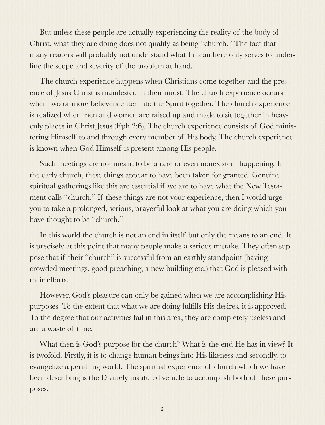But unless these people are actually experiencing the reality of the body of Christ, what they are doing does not qualify as being "church." The fact that many readers will probably not understand what I mean here only serves to underline the scope and severity of the problem at hand.

The church experience happens when Christians come together and the presence of Jesus Christ is manifested in their midst. The church experience occurs when two or more believers enter into the Spirit together. The church experience is realized when men and women are raised up and made to sit together in heavenly places in Christ Jesus (Eph 2:6). The church experience consists of God ministering Himself to and through every member of His body. The church experience is known when God Himself is present among His people.

Such meetings are not meant to be a rare or even nonexistent happening. In the early church, these things appear to have been taken for granted. Genuine spiritual gatherings like this are essential if we are to have what the New Testament calls "church." If these things are not your experience, then I would urge you to take a prolonged, serious, prayerful look at what you are doing which you have thought to be "church."

In this world the church is not an end in itself but only the means to an end. It is precisely at this point that many people make a serious mistake. They often suppose that if their "church" is successful from an earthly standpoint (having crowded meetings, good preaching, a new building etc.) that God is pleased with their efforts.

However, God's pleasure can only be gained when we are accomplishing His purposes. To the extent that what we are doing fulfills His desires, it is approved. To the degree that our activities fail in this area, they are completely useless and are a waste of time.

What then is God's purpose for the church? What is the end He has in view? It is twofold. Firstly, it is to change human beings into His likeness and secondly, to evangelize a perishing world. The spiritual experience of church which we have been describing is the Divinely instituted vehicle to accomplish both of these purposes.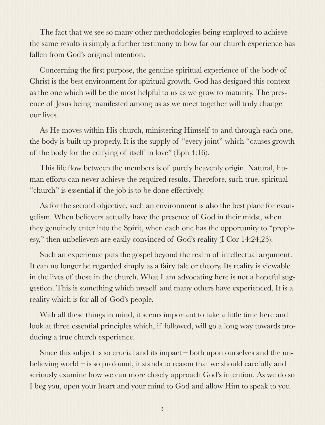The fact that we see so many other methodologies being employed to achieve the same results is simply a further testimony to how far our church experience has fallen from God's original intention.

Concerning the first purpose, the genuine spiritual experience of the body of Christ is the best environment for spiritual growth. God has designed this context as the one which will be the most helpful to us as we grow to maturity. The presence of Jesus being manifested among us as we meet together will truly change our lives.

As He moves within His church, ministering Himself to and through each one, the body is built up properly. It is the supply of "every joint" which "causes growth of the body for the edifying of itself in love" (Eph 4:16).

This life flow between the members is of purely heavenly origin. Natural, human efforts can never achieve the required results. Therefore, such true, spiritual "church" is essential if the job is to be done effectively.

As for the second objective, such an environment is also the best place for evangelism. When believers actually have the presence of God in their midst, when they genuinely enter into the Spirit, when each one has the opportunity to "prophesy," then unbelievers are easily convinced of God's reality (I Cor 14:24,25).

Such an experience puts the gospel beyond the realm of intellectual argument. It can no longer be regarded simply as a fairy tale or theory. Its reality is viewable in the lives of those in the church. What I am advocating here is not a hopeful suggestion. This is something which myself and many others have experienced. It is a reality which is for all of God's people.

With all these things in mind, it seems important to take a little time here and look at three essential principles which, if followed, will go a long way towards producing a true church experience.

Since this subject is so crucial and its impact – both upon ourselves and the unbelieving world – is so profound, it stands to reason that we should carefully and seriously examine how we can more closely approach God's intention. As we do so I beg you, open your heart and your mind to God and allow Him to speak to you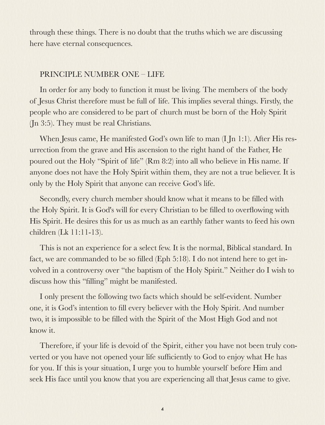through these things. There is no doubt that the truths which we are discussing here have eternal consequences.

# PRINCIPLE NUMBER ONE – LIFE

In order for any body to function it must be living. The members of the body of Jesus Christ therefore must be full of life. This implies several things. Firstly, the people who are considered to be part of church must be born of the Holy Spirit (Jn 3:5). They must be real Christians.

When Jesus came, He manifested God's own life to man (I Jn 1:1). After His resurrection from the grave and His ascension to the right hand of the Father, He poured out the Holy "Spirit of life" (Rm 8:2) into all who believe in His name. If anyone does not have the Holy Spirit within them, they are not a true believer. It is only by the Holy Spirit that anyone can receive God's life.

Secondly, every church member should know what it means to be filled with the Holy Spirit. It is God's will for every Christian to be filled to overflowing with His Spirit. He desires this for us as much as an earthly father wants to feed his own children (Lk 11:11-13).

This is not an experience for a select few. It is the normal, Biblical standard. In fact, we are commanded to be so filled (Eph 5:18). I do not intend here to get involved in a controversy over "the baptism of the Holy Spirit." Neither do I wish to discuss how this "filling" might be manifested.

I only present the following two facts which should be self-evident. Number one, it is God's intention to fill every believer with the Holy Spirit. And number two, it is impossible to be filled with the Spirit of the Most High God and not know it.

Therefore, if your life is devoid of the Spirit, either you have not been truly converted or you have not opened your life sufficiently to God to enjoy what He has for you. If this is your situation, I urge you to humble yourself before Him and seek His face until you know that you are experiencing all that Jesus came to give.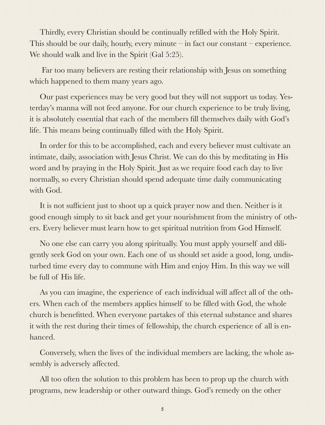Thirdly, every Christian should be continually refilled with the Holy Spirit. This should be our daily, hourly, every minute – in fact our constant – experience. We should walk and live in the Spirit (Gal 5:25).

 Far too many believers are resting their relationship with Jesus on something which happened to them many years ago.

Our past experiences may be very good but they will not support us today. Yesterday's manna will not feed anyone. For our church experience to be truly living, it is absolutely essential that each of the members fill themselves daily with God's life. This means being continually filled with the Holy Spirit.

In order for this to be accomplished, each and every believer must cultivate an intimate, daily, association with Jesus Christ. We can do this by meditating in His word and by praying in the Holy Spirit. Just as we require food each day to live normally, so every Christian should spend adequate time daily communicating with God.

It is not sufficient just to shoot up a quick prayer now and then. Neither is it good enough simply to sit back and get your nourishment from the ministry of others. Every believer must learn how to get spiritual nutrition from God Himself.

No one else can carry you along spiritually. You must apply yourself and diligently seek God on your own. Each one of us should set aside a good, long, undisturbed time every day to commune with Him and enjoy Him. In this way we will be full of His life.

As you can imagine, the experience of each individual will affect all of the others. When each of the members applies himself to be filled with God, the whole church is benefitted. When everyone partakes of this eternal substance and shares it with the rest during their times of fellowship, the church experience of all is enhanced.

Conversely, when the lives of the individual members are lacking, the whole assembly is adversely affected.

All too often the solution to this problem has been to prop up the church with programs, new leadership or other outward things. God's remedy on the other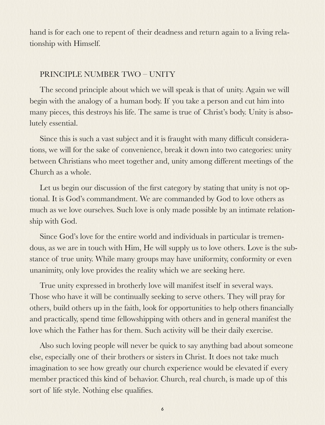hand is for each one to repent of their deadness and return again to a living relationship with Himself.

# PRINCIPLE NUMBER TWO – UNITY

The second principle about which we will speak is that of unity. Again we will begin with the analogy of a human body. If you take a person and cut him into many pieces, this destroys his life. The same is true of Christ's body. Unity is absolutely essential.

Since this is such a vast subject and it is fraught with many difficult considerations, we will for the sake of convenience, break it down into two categories: unity between Christians who meet together and, unity among different meetings of the Church as a whole.

Let us begin our discussion of the first category by stating that unity is not optional. It is God's commandment. We are commanded by God to love others as much as we love ourselves. Such love is only made possible by an intimate relationship with God.

Since God's love for the entire world and individuals in particular is tremendous, as we are in touch with Him, He will supply us to love others. Love is the substance of true unity. While many groups may have uniformity, conformity or even unanimity, only love provides the reality which we are seeking here.

True unity expressed in brotherly love will manifest itself in several ways. Those who have it will be continually seeking to serve others. They will pray for others, build others up in the faith, look for opportunities to help others financially and practically, spend time fellowshipping with others and in general manifest the love which the Father has for them. Such activity will be their daily exercise.

Also such loving people will never be quick to say anything bad about someone else, especially one of their brothers or sisters in Christ. It does not take much imagination to see how greatly our church experience would be elevated if every member practiced this kind of behavior. Church, real church, is made up of this sort of life style. Nothing else qualifies.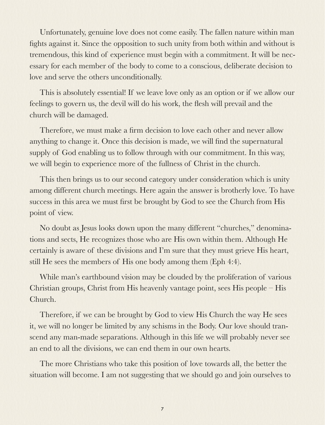Unfortunately, genuine love does not come easily. The fallen nature within man fights against it. Since the opposition to such unity from both within and without is tremendous, this kind of experience must begin with a commitment. It will be necessary for each member of the body to come to a conscious, deliberate decision to love and serve the others unconditionally.

This is absolutely essential! If we leave love only as an option or if we allow our feelings to govern us, the devil will do his work, the flesh will prevail and the church will be damaged.

Therefore, we must make a firm decision to love each other and never allow anything to change it. Once this decision is made, we will find the supernatural supply of God enabling us to follow through with our commitment. In this way, we will begin to experience more of the fullness of Christ in the church.

This then brings us to our second category under consideration which is unity among different church meetings. Here again the answer is brotherly love. To have success in this area we must first be brought by God to see the Church from His point of view.

No doubt as Jesus looks down upon the many different "churches," denominations and sects, He recognizes those who are His own within them. Although He certainly is aware of these divisions and I'm sure that they must grieve His heart, still He sees the members of His one body among them (Eph 4:4).

While man's earthbound vision may be clouded by the proliferation of various Christian groups, Christ from His heavenly vantage point, sees His people – His Church.

Therefore, if we can be brought by God to view His Church the way He sees it, we will no longer be limited by any schisms in the Body. Our love should transcend any man-made separations. Although in this life we will probably never see an end to all the divisions, we can end them in our own hearts.

The more Christians who take this position of love towards all, the better the situation will become. I am not suggesting that we should go and join ourselves to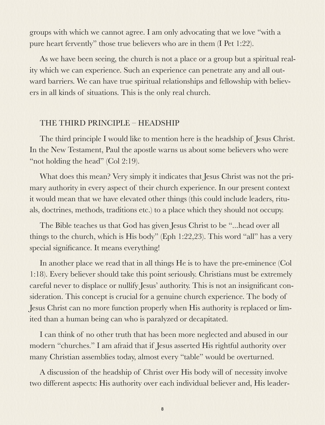groups with which we cannot agree. I am only advocating that we love "with a pure heart fervently" those true believers who are in them (I Pet 1:22).

As we have been seeing, the church is not a place or a group but a spiritual reality which we can experience. Such an experience can penetrate any and all outward barriers. We can have true spiritual relationships and fellowship with believers in all kinds of situations. This is the only real church.

### THE THIRD PRINCIPLE – HEADSHIP

The third principle I would like to mention here is the headship of Jesus Christ. In the New Testament, Paul the apostle warns us about some believers who were "not holding the head" (Col 2:19).

What does this mean? Very simply it indicates that Jesus Christ was not the primary authority in every aspect of their church experience. In our present context it would mean that we have elevated other things (this could include leaders, rituals, doctrines, methods, traditions etc.) to a place which they should not occupy.

The Bible teaches us that God has given Jesus Christ to be "...head over all things to the church, which is His body" (Eph 1:22,23). This word "all" has a very special significance. It means everything!

In another place we read that in all things He is to have the pre-eminence (Col 1:18). Every believer should take this point seriously. Christians must be extremely careful never to displace or nullify Jesus' authority. This is not an insignificant consideration. This concept is crucial for a genuine church experience. The body of Jesus Christ can no more function properly when His authority is replaced or limited than a human being can who is paralyzed or decapitated.

I can think of no other truth that has been more neglected and abused in our modern "churches." I am afraid that if Jesus asserted His rightful authority over many Christian assemblies today, almost every "table" would be overturned.

A discussion of the headship of Christ over His body will of necessity involve two different aspects: His authority over each individual believer and, His leader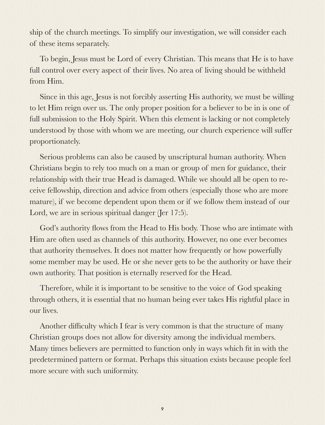ship of the church meetings. To simplify our investigation, we will consider each of these items separately.

To begin, Jesus must be Lord of every Christian. This means that He is to have full control over every aspect of their lives. No area of living should be withheld from Him.

Since in this age, Jesus is not forcibly asserting His authority, we must be willing to let Him reign over us. The only proper position for a believer to be in is one of full submission to the Holy Spirit. When this element is lacking or not completely understood by those with whom we are meeting, our church experience will suffer proportionately.

Serious problems can also be caused by unscriptural human authority. When Christians begin to rely too much on a man or group of men for guidance, their relationship with their true Head is damaged. While we should all be open to receive fellowship, direction and advice from others (especially those who are more mature), if we become dependent upon them or if we follow them instead of our Lord, we are in serious spiritual danger (Jer 17:5).

God's authority flows from the Head to His body. Those who are intimate with Him are often used as channels of this authority. However, no one ever becomes that authority themselves. It does not matter how frequently or how powerfully some member may be used. He or she never gets to be the authority or have their own authority. That position is eternally reserved for the Head.

Therefore, while it is important to be sensitive to the voice of God speaking through others, it is essential that no human being ever takes His rightful place in our lives.

Another difficulty which I fear is very common is that the structure of many Christian groups does not allow for diversity among the individual members. Many times believers are permitted to function only in ways which fit in with the predetermined pattern or format. Perhaps this situation exists because people feel more secure with such uniformity.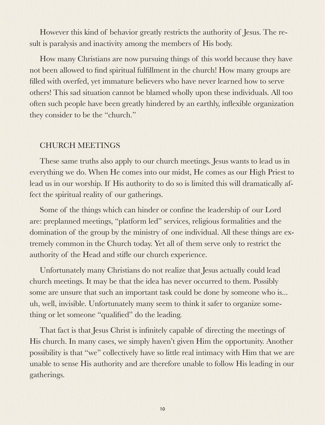However this kind of behavior greatly restricts the authority of Jesus. The result is paralysis and inactivity among the members of His body.

How many Christians are now pursuing things of this world because they have not been allowed to find spiritual fulfillment in the church! How many groups are filled with overfed, yet immature believers who have never learned how to serve others! This sad situation cannot be blamed wholly upon these individuals. All too often such people have been greatly hindered by an earthly, inflexible organization they consider to be the "church."

### CHURCH MEETINGS

These same truths also apply to our church meetings. Jesus wants to lead us in everything we do. When He comes into our midst, He comes as our High Priest to lead us in our worship. If His authority to do so is limited this will dramatically affect the spiritual reality of our gatherings.

Some of the things which can hinder or confine the leadership of our Lord are: preplanned meetings, "platform led" services, religious formalities and the domination of the group by the ministry of one individual. All these things are extremely common in the Church today. Yet all of them serve only to restrict the authority of the Head and stifle our church experience.

Unfortunately many Christians do not realize that Jesus actually could lead church meetings. It may be that the idea has never occurred to them. Possibly some are unsure that such an important task could be done by someone who is... uh, well, invisible. Unfortunately many seem to think it safer to organize something or let someone "qualified" do the leading.

That fact is that Jesus Christ is infinitely capable of directing the meetings of His church. In many cases, we simply haven't given Him the opportunity. Another possibility is that "we" collectively have so little real intimacy with Him that we are unable to sense His authority and are therefore unable to follow His leading in our gatherings.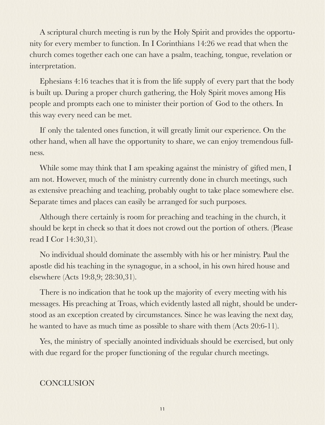A scriptural church meeting is run by the Holy Spirit and provides the opportunity for every member to function. In I Corinthians 14:26 we read that when the church comes together each one can have a psalm, teaching, tongue, revelation or interpretation.

Ephesians 4:16 teaches that it is from the life supply of every part that the body is built up. During a proper church gathering, the Holy Spirit moves among His people and prompts each one to minister their portion of God to the others. In this way every need can be met.

If only the talented ones function, it will greatly limit our experience. On the other hand, when all have the opportunity to share, we can enjoy tremendous fullness.

While some may think that I am speaking against the ministry of gifted men, I am not. However, much of the ministry currently done in church meetings, such as extensive preaching and teaching, probably ought to take place somewhere else. Separate times and places can easily be arranged for such purposes.

Although there certainly is room for preaching and teaching in the church, it should be kept in check so that it does not crowd out the portion of others. (Please read I Cor 14:30,31).

No individual should dominate the assembly with his or her ministry. Paul the apostle did his teaching in the synagogue, in a school, in his own hired house and elsewhere (Acts 19:8,9; 28:30,31).

There is no indication that he took up the majority of every meeting with his messages. His preaching at Troas, which evidently lasted all night, should be understood as an exception created by circumstances. Since he was leaving the next day, he wanted to have as much time as possible to share with them (Acts 20:6-11).

Yes, the ministry of specially anointed individuals should be exercised, but only with due regard for the proper functioning of the regular church meetings.

# **CONCLUSION**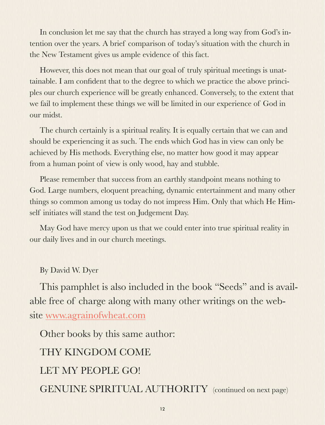In conclusion let me say that the church has strayed a long way from God's intention over the years. A brief comparison of today's situation with the church in the New Testament gives us ample evidence of this fact.

However, this does not mean that our goal of truly spiritual meetings is unattainable. I am confident that to the degree to which we practice the above principles our church experience will be greatly enhanced. Conversely, to the extent that we fail to implement these things we will be limited in our experience of God in our midst.

The church certainly is a spiritual reality. It is equally certain that we can and should be experiencing it as such. The ends which God has in view can only be achieved by His methods. Everything else, no matter how good it may appear from a human point of view is only wood, hay and stubble.

Please remember that success from an earthly standpoint means nothing to God. Large numbers, eloquent preaching, dynamic entertainment and many other things so common among us today do not impress Him. Only that which He Himself initiates will stand the test on Judgement Day.

May God have mercy upon us that we could enter into true spiritual reality in our daily lives and in our church meetings.

By David W. Dyer

This pamphlet is also included in the book "Seeds" and is available free of charge along with many other writings on the website [www.agrainofwheat.com](http://www.agrainofwheat.com)

Other books by this same author:

THY KINGDOM COME LET MY PEOPLE GO! GENUINE SPIRITUAL AUTHORITY (continued on next page)